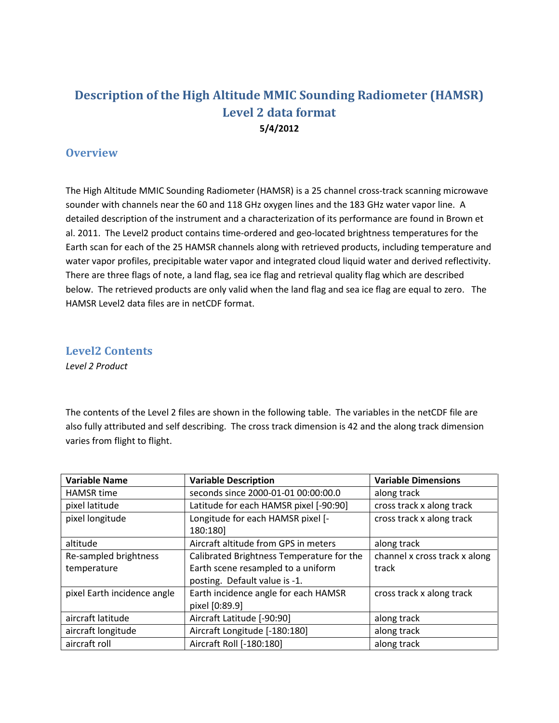## **Description of the High Altitude MMIC Sounding Radiometer (HAMSR) Level 2 data format 5/4/2012**

## **Overview**

The High Altitude MMIC Sounding Radiometer (HAMSR) is a 25 channel cross-track scanning microwave sounder with channels near the 60 and 118 GHz oxygen lines and the 183 GHz water vapor line. A detailed description of the instrument and a characterization of its performance are found in Brown et al. 2011. The Level2 product contains time-ordered and geo-located brightness temperatures for the Earth scan for each of the 25 HAMSR channels along with retrieved products, including temperature and water vapor profiles, precipitable water vapor and integrated cloud liquid water and derived reflectivity. There are three flags of note, a land flag, sea ice flag and retrieval quality flag which are described below. The retrieved products are only valid when the land flag and sea ice flag are equal to zero. The HAMSR Level2 data files are in netCDF format.

**Level2 Contents**

*Level 2 Product*

The contents of the Level 2 files are shown in the following table. The variables in the netCDF file are also fully attributed and self describing. The cross track dimension is 42 and the along track dimension varies from flight to flight.

| <b>Variable Name</b>        | <b>Variable Description</b>               | <b>Variable Dimensions</b>    |
|-----------------------------|-------------------------------------------|-------------------------------|
| <b>HAMSR</b> time           | seconds since 2000-01-01 00:00:00.0       | along track                   |
| pixel latitude              | Latitude for each HAMSR pixel [-90:90]    | cross track x along track     |
| pixel longitude             | Longitude for each HAMSR pixel [-         | cross track x along track     |
|                             | 180:180]                                  |                               |
| altitude                    | Aircraft altitude from GPS in meters      | along track                   |
| Re-sampled brightness       | Calibrated Brightness Temperature for the | channel x cross track x along |
| temperature                 | Earth scene resampled to a uniform        | track                         |
|                             | posting. Default value is -1.             |                               |
| pixel Earth incidence angle | Earth incidence angle for each HAMSR      | cross track x along track     |
|                             | pixel [0:89.9]                            |                               |
| aircraft latitude           | Aircraft Latitude [-90:90]                | along track                   |
| aircraft longitude          | Aircraft Longitude [-180:180]             | along track                   |
| aircraft roll               | Aircraft Roll [-180:180]                  | along track                   |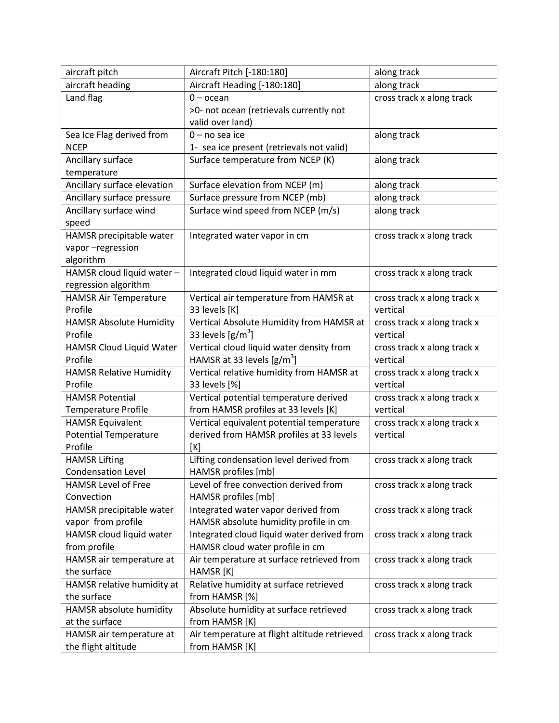| aircraft pitch                 | Aircraft Pitch [-180:180]                    | along track                 |
|--------------------------------|----------------------------------------------|-----------------------------|
| aircraft heading               | Aircraft Heading [-180:180]                  | along track                 |
| Land flag                      | $0$ – ocean                                  | cross track x along track   |
|                                | >0- not ocean (retrievals currently not      |                             |
|                                | valid over land)                             |                             |
| Sea Ice Flag derived from      | $0 - no$ sea ice                             | along track                 |
| <b>NCEP</b>                    | 1- sea ice present (retrievals not valid)    |                             |
| Ancillary surface              | Surface temperature from NCEP (K)            | along track                 |
| temperature                    |                                              |                             |
| Ancillary surface elevation    | Surface elevation from NCEP (m)              | along track                 |
| Ancillary surface pressure     | Surface pressure from NCEP (mb)              | along track                 |
| Ancillary surface wind         | Surface wind speed from NCEP (m/s)           | along track                 |
| speed                          |                                              |                             |
| HAMSR precipitable water       | Integrated water vapor in cm                 | cross track x along track   |
| vapor-regression               |                                              |                             |
| algorithm                      |                                              |                             |
| HAMSR cloud liquid water -     | Integrated cloud liquid water in mm          | cross track x along track   |
| regression algorithm           |                                              |                             |
| <b>HAMSR Air Temperature</b>   | Vertical air temperature from HAMSR at       | cross track x along track x |
| Profile                        | 33 levels [K]                                | vertical                    |
| <b>HAMSR Absolute Humidity</b> | Vertical Absolute Humidity from HAMSR at     | cross track x along track x |
| Profile                        | 33 levels $[g/m^3]$                          | vertical                    |
| HAMSR Cloud Liquid Water       | Vertical cloud liquid water density from     | cross track x along track x |
| Profile                        | HAMSR at 33 levels $[g/m^3]$                 | vertical                    |
| <b>HAMSR Relative Humidity</b> | Vertical relative humidity from HAMSR at     | cross track x along track x |
| Profile                        | 33 levels [%]                                | vertical                    |
| <b>HAMSR Potential</b>         | Vertical potential temperature derived       | cross track x along track x |
| <b>Temperature Profile</b>     | from HAMSR profiles at 33 levels [K]         | vertical                    |
| <b>HAMSR Equivalent</b>        | Vertical equivalent potential temperature    | cross track x along track x |
| <b>Potential Temperature</b>   | derived from HAMSR profiles at 33 levels     | vertical                    |
| Profile                        | [K]                                          |                             |
| <b>HAMSR Lifting</b>           | Lifting condensation level derived from      | cross track x along track   |
| <b>Condensation Level</b>      | HAMSR profiles [mb]                          |                             |
| <b>HAMSR Level of Free</b>     | Level of free convection derived from        | cross track x along track   |
| Convection                     | HAMSR profiles [mb]                          |                             |
| HAMSR precipitable water       | Integrated water vapor derived from          | cross track x along track   |
| vapor from profile             | HAMSR absolute humidity profile in cm        |                             |
| HAMSR cloud liquid water       | Integrated cloud liquid water derived from   | cross track x along track   |
| from profile                   | HAMSR cloud water profile in cm              |                             |
| HAMSR air temperature at       | Air temperature at surface retrieved from    | cross track x along track   |
| the surface                    | HAMSR [K]                                    |                             |
| HAMSR relative humidity at     | Relative humidity at surface retrieved       | cross track x along track   |
| the surface                    | from HAMSR [%]                               |                             |
| HAMSR absolute humidity        | Absolute humidity at surface retrieved       | cross track x along track   |
| at the surface                 | from HAMSR [K]                               |                             |
| HAMSR air temperature at       | Air temperature at flight altitude retrieved | cross track x along track   |
| the flight altitude            | from HAMSR [K]                               |                             |